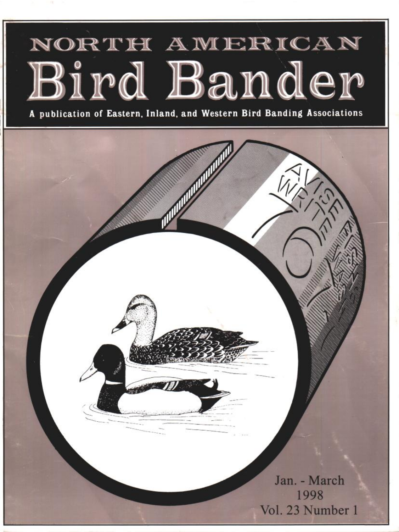# NORTH AWERICAN Bird Bander

**A publication of Eastern, Inland, and Western Bird Banding Associations**